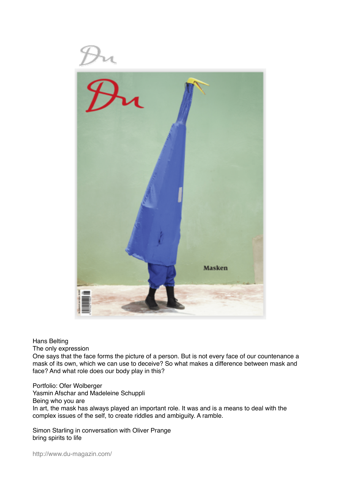

Hans Belting

The only expression

One says that the face forms the picture of a person. But is not every face of our countenance a mask of its own, which we can use to deceive? So what makes a difference between mask and face? And what role does our body play in this?

Portfolio: Ofer Wolberger Yasmin Afschar and Madeleine Schuppli Being who you are In art, the mask has always played an important role. It was and is a means to deal with the complex issues of the self, to create riddles and ambiguity. A ramble.

Simon Starling in conversation with Oliver Prange bring spirits to life

http://www.du-magazin.com/